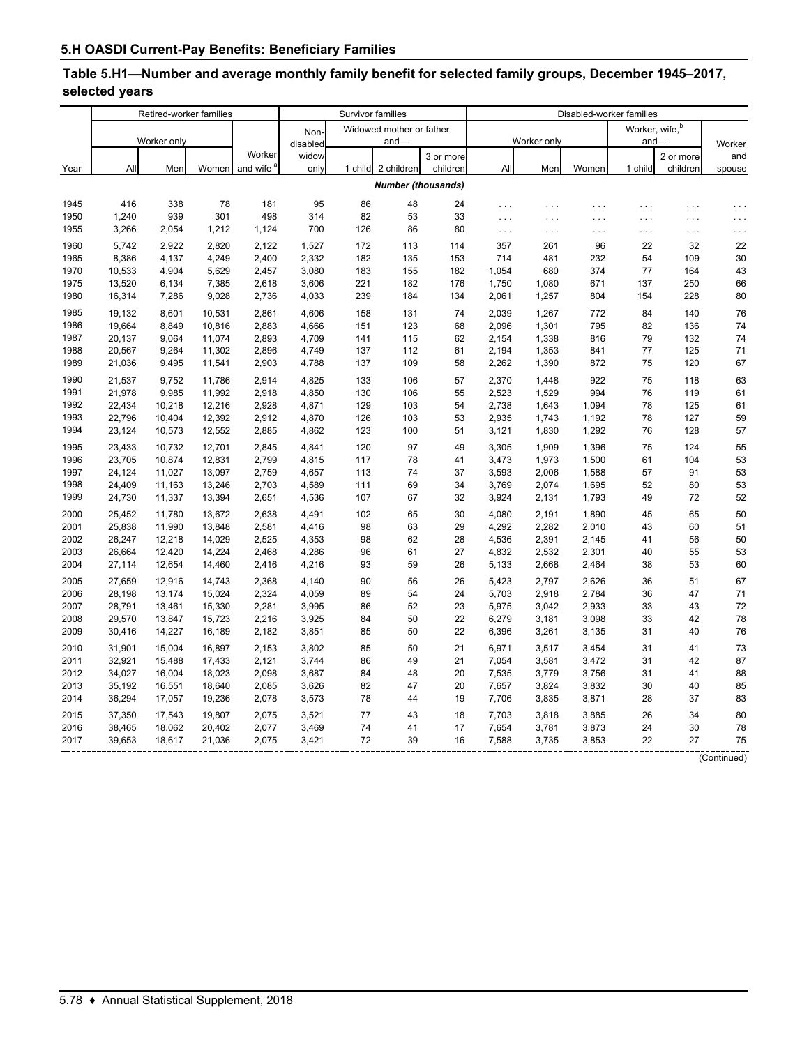# **Table 5.H1—Number and average monthly family benefit for selected family groups, December 1945–2017, selected years**

|      | Retired-worker families |             |        |                       |          | Survivor families |                           |           | Disabled-worker families |             |          |                            |           |                                 |  |
|------|-------------------------|-------------|--------|-----------------------|----------|-------------------|---------------------------|-----------|--------------------------|-------------|----------|----------------------------|-----------|---------------------------------|--|
|      |                         |             |        |                       | Non-     |                   | Widowed mother or father  |           |                          |             |          | Worker, wife, <sup>b</sup> |           |                                 |  |
|      |                         | Worker only |        |                       | disabled |                   | $and -$                   |           |                          | Worker only |          | $and-$                     |           | Worker                          |  |
|      |                         |             |        | Worker                | widow    |                   |                           | 3 or more |                          |             |          |                            | 2 or more | and                             |  |
| Year | All                     | Men         | Women  | and wife <sup>6</sup> | only     | 1 child           | 2 children                | children  | All                      | Men         | Women    | 1 child                    | children  | spouse                          |  |
|      |                         |             |        |                       |          |                   | <b>Number (thousands)</b> |           |                          |             |          |                            |           |                                 |  |
| 1945 | 416                     | 338         | 78     | 181                   | 95       | 86                | 48                        | 24        | .                        | .           | .        | .                          | .         | $\ldots$                        |  |
| 1950 | 1,240                   | 939         | 301    | 498                   | 314      | 82                | 53                        | 33        | .                        | $\sim$ .    | $\cdots$ | .                          | $\cdots$  | $\sim$                          |  |
| 1955 | 3,266                   | 2,054       | 1,212  | 1,124                 | 700      | 126               | 86                        | 80        | $\ldots$                 | $\ldots$    | $\cdots$ | .                          | $\ldots$  | $\epsilon \rightarrow \epsilon$ |  |
| 1960 | 5,742                   | 2,922       | 2,820  | 2,122                 | 1,527    | 172               | 113                       | 114       | 357                      | 261         | 96       | 22                         | 32        | 22                              |  |
| 1965 | 8,386                   | 4,137       | 4,249  | 2,400                 | 2,332    | 182               | 135                       | 153       | 714                      | 481         | 232      | 54                         | 109       | 30                              |  |
| 1970 | 10,533                  | 4,904       | 5,629  | 2,457                 | 3,080    | 183               | 155                       | 182       | 1,054                    | 680         | 374      | 77                         | 164       | 43                              |  |
| 1975 | 13,520                  | 6,134       | 7,385  | 2,618                 | 3,606    | 221               | 182                       | 176       | 1,750                    | 1,080       | 671      | 137                        | 250       | 66                              |  |
| 1980 | 16,314                  | 7,286       | 9,028  | 2,736                 | 4,033    | 239               | 184                       | 134       | 2,061                    | 1,257       | 804      | 154                        | 228       | 80                              |  |
| 1985 | 19,132                  | 8,601       | 10,531 | 2,861                 | 4,606    | 158               | 131                       | 74        | 2,039                    | 1,267       | 772      | 84                         | 140       | 76                              |  |
| 1986 | 19.664                  | 8.849       | 10,816 | 2,883                 | 4.666    | 151               | 123                       | 68        | 2.096                    | 1,301       | 795      | 82                         | 136       | 74                              |  |
| 1987 | 20,137                  | 9,064       | 11,074 | 2,893                 | 4,709    | 141               | 115                       | 62        | 2,154                    | 1,338       | 816      | 79                         | 132       | 74                              |  |
| 1988 | 20,567                  | 9,264       | 11,302 | 2,896                 | 4,749    | 137               | 112                       | 61        | 2,194                    | 1,353       | 841      | 77                         | 125       | 71                              |  |
| 1989 | 21,036                  | 9,495       | 11,541 | 2,903                 | 4,788    | 137               | 109                       | 58        | 2,262                    | 1,390       | 872      | 75                         | 120       | 67                              |  |
| 1990 | 21,537                  | 9,752       | 11,786 | 2.914                 | 4,825    | 133               | 106                       | 57        | 2,370                    | 1.448       | 922      | 75                         | 118       | 63                              |  |
| 1991 | 21,978                  | 9,985       | 11,992 | 2,918                 | 4,850    | 130               | 106                       | 55        | 2,523                    | 1,529       | 994      | 76                         | 119       | 61                              |  |
| 1992 | 22,434                  | 10,218      | 12,216 | 2,928                 | 4,871    | 129               | 103                       | 54        | 2,738                    | 1,643       | 1,094    | 78                         | 125       | 61                              |  |
| 1993 | 22,796                  | 10,404      | 12,392 | 2,912                 | 4,870    | 126               | 103                       | 53        | 2,935                    | 1,743       | 1,192    | 78                         | 127       | 59                              |  |
| 1994 | 23,124                  | 10,573      | 12,552 | 2,885                 | 4,862    | 123               | 100                       | 51        | 3,121                    | 1,830       | 1,292    | 76                         | 128       | 57                              |  |
| 1995 | 23,433                  | 10,732      | 12,701 | 2,845                 | 4,841    | 120               | 97                        | 49        | 3,305                    | 1,909       | 1,396    | 75                         | 124       | 55                              |  |
| 1996 | 23,705                  | 10,874      | 12,831 | 2,799                 | 4,815    | 117               | 78                        | 41        | 3,473                    | 1,973       | 1,500    | 61                         | 104       | 53                              |  |
| 1997 | 24,124                  | 11,027      | 13,097 | 2,759                 | 4,657    | 113               | 74                        | 37        | 3,593                    | 2,006       | 1,588    | 57                         | 91        | 53                              |  |
| 1998 | 24,409                  | 11,163      | 13,246 | 2,703                 | 4,589    | 111               | 69                        | 34        | 3,769                    | 2,074       | 1,695    | 52                         | 80        | 53                              |  |
| 1999 | 24,730                  | 11,337      | 13,394 | 2,651                 | 4,536    | 107               | 67                        | 32        | 3,924                    | 2,131       | 1,793    | 49                         | 72        | 52                              |  |
| 2000 | 25,452                  | 11,780      | 13,672 | 2,638                 | 4,491    | 102               | 65                        | 30        | 4,080                    | 2,191       | 1,890    | 45                         | 65        | 50                              |  |
| 2001 | 25,838                  | 11,990      | 13,848 | 2,581                 | 4,416    | 98                | 63                        | 29        | 4,292                    | 2,282       | 2,010    | 43                         | 60        | 51                              |  |
| 2002 | 26,247                  | 12,218      | 14,029 | 2,525                 | 4,353    | 98                | 62                        | 28        | 4,536                    | 2,391       | 2,145    | 41                         | 56        | 50                              |  |
| 2003 | 26,664                  | 12,420      | 14,224 | 2,468                 | 4,286    | 96                | 61                        | 27        | 4,832                    | 2,532       | 2,301    | 40                         | 55        | 53                              |  |
| 2004 | 27,114                  | 12,654      | 14,460 | 2,416                 | 4,216    | 93                | 59                        | 26        | 5,133                    | 2,668       | 2,464    | 38                         | 53        | 60                              |  |
| 2005 | 27,659                  | 12,916      | 14,743 | 2,368                 | 4,140    | 90                | 56                        | 26        | 5,423                    | 2,797       | 2,626    | 36                         | 51        | 67                              |  |
| 2006 | 28,198                  | 13,174      | 15,024 | 2,324                 | 4,059    | 89                | 54                        | 24        | 5,703                    | 2,918       | 2,784    | 36                         | 47        | 71                              |  |
| 2007 | 28,791                  | 13,461      | 15,330 | 2,281                 | 3,995    | 86                | 52                        | 23        | 5,975                    | 3,042       | 2,933    | 33                         | 43        | 72                              |  |
| 2008 | 29,570                  | 13,847      | 15,723 | 2,216                 | 3,925    | 84                | 50                        | 22        | 6,279                    | 3,181       | 3,098    | 33                         | 42        | 78                              |  |
| 2009 | 30,416                  | 14,227      | 16,189 | 2,182                 | 3,851    | 85                | 50                        | 22        | 6,396                    | 3,261       | 3,135    | 31                         | 40        | 76                              |  |
| 2010 | 31,901                  | 15,004      | 16,897 | 2,153                 | 3,802    | 85                | 50                        | 21        | 6,971                    | 3,517       | 3,454    | 31                         | 41        | 73                              |  |
| 2011 | 32,921                  | 15,488      | 17,433 | 2,121                 | 3,744    | 86                | 49                        | 21        | 7,054                    | 3,581       | 3,472    | 31                         | 42        | 87                              |  |
| 2012 | 34,027                  | 16,004      | 18,023 | 2,098                 | 3,687    | 84                | 48                        | 20        | 7,535                    | 3,779       | 3,756    | 31                         | 41        | 88                              |  |
| 2013 | 35,192                  | 16,551      | 18,640 | 2,085                 | 3,626    | 82                | 47                        | 20        | 7,657                    | 3,824       | 3,832    | 30                         | 40        | 85                              |  |
| 2014 | 36,294                  | 17,057      | 19,236 | 2,078                 | 3,573    | 78                | 44                        | 19        | 7,706                    | 3,835       | 3,871    | 28                         | 37        | 83                              |  |
| 2015 | 37,350                  | 17,543      | 19,807 | 2,075                 | 3,521    | 77                | 43                        | 18        | 7,703                    | 3,818       | 3,885    | 26                         | 34        | 80                              |  |
| 2016 | 38,465                  | 18,062      | 20,402 | 2,077                 | 3,469    | 74                | 41                        | 17        | 7,654                    | 3,781       | 3,873    | 24                         | 30        | 78                              |  |
| 2017 | 39,653                  | 18,617      | 21,036 | 2,075                 | 3,421    | 72                | 39                        | 16        | 7,588                    | 3,735       | 3,853    | 22                         | 27        | 75                              |  |

(Continued)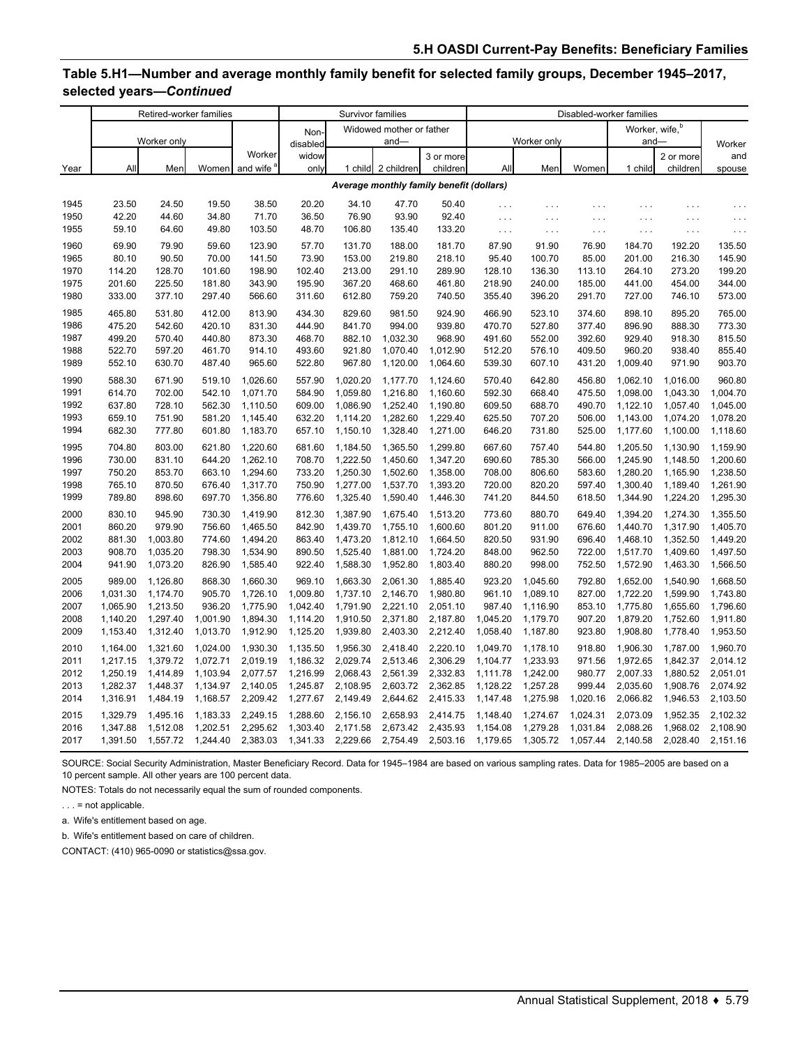## **Table 5.H1—Number and average monthly family benefit for selected family groups, December 1945–2017, selected years—***Continued*

|              | Retired-worker families |                      |                  |                       | Survivor families  |                      |                          |                                          | Disabled-worker families |                      |                  |                            |                      |                      |
|--------------|-------------------------|----------------------|------------------|-----------------------|--------------------|----------------------|--------------------------|------------------------------------------|--------------------------|----------------------|------------------|----------------------------|----------------------|----------------------|
|              |                         |                      |                  |                       | Non-               |                      | Widowed mother or father |                                          |                          |                      |                  | Worker, wife, <sup>b</sup> |                      |                      |
|              |                         | Worker only          |                  |                       | disabled           |                      | $and -$                  |                                          |                          | Worker only          |                  | $and-$                     |                      | Worker               |
|              |                         |                      |                  | Worker                | widow              |                      |                          | 3 or more                                |                          |                      |                  |                            | 2 or more            | and                  |
| Year         | All                     | Men                  | Women            | and wife <sup>®</sup> | only               |                      | 1 child 2 children       | children                                 | All                      | Men                  | Women            | 1 child                    | children             | spouse               |
|              |                         |                      |                  |                       |                    |                      |                          | Average monthly family benefit (dollars) |                          |                      |                  |                            |                      |                      |
| 1945         | 23.50                   | 24.50                | 19.50            | 38.50                 | 20.20              | 34.10                | 47.70                    | 50.40                                    | $\cdots$                 | $\cdots$             | .                | $\cdots$                   | .                    | .                    |
| 1950         | 42.20                   | 44.60                | 34.80            | 71.70                 | 36.50              | 76.90                | 93.90                    | 92.40                                    | $\cdots$                 | $\cdots$             | .                | $\cdots$                   | .                    | .                    |
| 1955         | 59.10                   | 64.60                | 49.80            | 103.50                | 48.70              | 106.80               | 135.40                   | 133.20                                   | $\ldots$                 | $\sim$ . $\sim$      | $\cdots$         | $\cdots$                   | $\ldots$             | $\cdots$             |
| 1960         | 69.90                   | 79.90                | 59.60            | 123.90                | 57.70              | 131.70               | 188.00                   | 181.70                                   | 87.90                    | 91.90                | 76.90            | 184.70                     | 192.20               | 135.50               |
| 1965         | 80.10                   | 90.50                | 70.00            | 141.50                | 73.90              | 153.00               | 219.80                   | 218.10                                   | 95.40                    | 100.70               | 85.00            | 201.00                     | 216.30               | 145.90               |
| 1970         | 114.20                  | 128.70               | 101.60           | 198.90                | 102.40             | 213.00               | 291.10                   | 289.90                                   | 128.10                   | 136.30               | 113.10           | 264.10                     | 273.20               | 199.20               |
| 1975         | 201.60                  | 225.50               | 181.80           | 343.90                | 195.90             | 367.20               | 468.60                   | 461.80                                   | 218.90                   | 240.00               | 185.00           | 441.00                     | 454.00               | 344.00               |
| 1980         | 333.00                  | 377.10               | 297.40           | 566.60                | 311.60             | 612.80               | 759.20                   | 740.50                                   | 355.40                   | 396.20               | 291.70           | 727.00                     | 746.10               | 573.00               |
| 1985         | 465.80                  | 531.80               | 412.00           | 813.90                | 434.30             | 829.60               | 981.50                   | 924.90                                   | 466.90                   | 523.10               | 374.60           | 898.10                     | 895.20               | 765.00               |
| 1986         | 475.20                  | 542.60               | 420.10           | 831.30                | 444.90             | 841.70               | 994.00                   | 939.80                                   | 470.70                   | 527.80               | 377.40           | 896.90                     | 888.30               | 773.30               |
| 1987         | 499.20                  | 570.40               | 440.80           | 873.30                | 468.70             | 882.10               | 1,032.30                 | 968.90                                   | 491.60                   | 552.00               | 392.60           | 929.40                     | 918.30               | 815.50               |
| 1988         | 522.70                  | 597.20               | 461.70           | 914.10                | 493.60             | 921.80               | 1,070.40                 | 1,012.90                                 | 512.20                   | 576.10               | 409.50           | 960.20                     | 938.40               | 855.40               |
| 1989         | 552.10                  | 630.70               | 487.40           | 965.60                | 522.80             | 967.80               | 1,120.00                 | 1,064.60                                 | 539.30                   | 607.10               | 431.20           | 1,009.40                   | 971.90               | 903.70               |
| 1990         | 588.30                  | 671.90               | 519.10           | 1,026.60              | 557.90             | 1,020.20             | 1,177.70                 | 1,124.60                                 | 570.40                   | 642.80               | 456.80           | 1,062.10                   | 1.016.00             | 960.80               |
| 1991         | 614.70                  | 702.00               | 542.10           | 1,071.70              | 584.90             | 1,059.80             | 1,216.80                 | 1,160.60                                 | 592.30                   | 668.40               | 475.50           | 1,098.00                   | 1,043.30             | 1,004.70             |
| 1992         | 637.80                  | 728.10               | 562.30           | 1,110.50              | 609.00             | 1,086.90             | 1,252.40                 | 1,190.80                                 | 609.50                   | 688.70               | 490.70           | 1,122.10                   | 1,057.40             | 1,045.00             |
| 1993         | 659.10                  | 751.90               | 581.20           | 1,145.40              | 632.20             | 1,114.20             | 1,282.60                 | 1,229.40                                 | 625.50                   | 707.20               | 506.00           | 1,143.00                   | 1,074.20             | 1,078.20             |
| 1994         | 682.30                  | 777.80               | 601.80           | 1,183.70              | 657.10             | 1,150.10             | 1,328.40                 | 1,271.00                                 | 646.20                   | 731.80               | 525.00           | 1,177.60                   | 1,100.00             | 1,118.60             |
| 1995         | 704.80                  | 803.00               | 621.80           | 1,220.60              | 681.60             | 1,184.50             | 1,365.50                 | 1,299.80                                 | 667.60                   | 757.40               | 544.80           | 1,205.50                   | 1,130.90             | 1,159.90             |
| 1996         | 730.00                  | 831.10               | 644.20           | 1,262.10              | 708.70             | 1,222.50             | 1,450.60                 | 1,347.20                                 | 690.60                   | 785.30               | 566.00           | 1,245.90                   | 1,148.50             | 1,200.60             |
| 1997         | 750.20                  | 853.70               | 663.10           | 1,294.60              | 733.20             | 1,250.30             | 1,502.60                 | 1,358.00                                 | 708.00                   | 806.60               | 583.60           | 1,280.20                   | 1,165.90             | 1,238.50             |
| 1998<br>1999 | 765.10<br>789.80        | 870.50<br>898.60     | 676.40<br>697.70 | 1,317.70<br>1,356.80  | 750.90<br>776.60   | 1,277.00<br>1,325.40 | 1,537.70<br>1,590.40     | 1,393.20<br>1,446.30                     | 720.00<br>741.20         | 820.20<br>844.50     | 597.40<br>618.50 | 1,300.40<br>1,344.90       | 1,189.40<br>1,224.20 | 1,261.90<br>1,295.30 |
|              |                         |                      |                  |                       |                    |                      |                          |                                          |                          |                      |                  |                            |                      |                      |
| 2000         | 830.10                  | 945.90               | 730.30           | 1,419.90              | 812.30             | 1,387.90             | 1,675.40                 | 1,513.20                                 | 773.60                   | 880.70               | 649.40           | 1,394.20                   | 1,274.30             | 1,355.50             |
| 2001         | 860.20                  | 979.90               | 756.60           | 1,465.50              | 842.90             | 1,439.70             | 1,755.10                 | 1,600.60                                 | 801.20                   | 911.00               | 676.60           | 1,440.70                   | 1,317.90             | 1,405.70             |
| 2002<br>2003 | 881.30<br>908.70        | 1,003.80<br>1,035.20 | 774.60<br>798.30 | 1,494.20<br>1,534.90  | 863.40<br>890.50   | 1,473.20<br>1,525.40 | 1,812.10<br>1,881.00     | 1,664.50<br>1,724.20                     | 820.50<br>848.00         | 931.90<br>962.50     | 696.40<br>722.00 | 1,468.10<br>1,517.70       | 1,352.50<br>1,409.60 | 1,449.20<br>1,497.50 |
| 2004         | 941.90                  | 1,073.20             | 826.90           | 1,585.40              | 922.40             | 1,588.30             | 1,952.80                 | 1,803.40                                 | 880.20                   | 998.00               | 752.50           | 1,572.90                   | 1,463.30             | 1,566.50             |
|              |                         |                      |                  |                       |                    |                      |                          |                                          |                          |                      |                  |                            |                      |                      |
| 2005         | 989.00<br>1,031.30      | 1,126.80<br>1,174.70 | 868.30<br>905.70 | 1,660.30<br>1,726.10  | 969.10<br>1,009.80 | 1,663.30<br>1,737.10 | 2,061.30<br>2,146.70     | 1,885.40<br>1,980.80                     | 923.20<br>961.10         | 1,045.60<br>1,089.10 | 792.80<br>827.00 | 1,652.00<br>1,722.20       | 1,540.90<br>1,599.90 | 1,668.50<br>1,743.80 |
| 2006<br>2007 | 1,065.90                | 1,213.50             | 936.20           | 1,775.90              | 1,042.40           | 1,791.90             | 2,221.10                 | 2,051.10                                 | 987.40                   | 1,116.90             | 853.10           | 1,775.80                   | 1,655.60             | 1,796.60             |
| 2008         | 1,140.20                | 1,297.40             | 1,001.90         | 1,894.30              | 1,114.20           | 1,910.50             | 2,371.80                 | 2,187.80                                 | 1,045.20                 | 1,179.70             | 907.20           | 1,879.20                   | 1,752.60             | 1,911.80             |
| 2009         | 1,153.40                | 1,312.40             | 1,013.70         | 1,912.90              | 1,125.20           | 1,939.80             | 2,403.30                 | 2,212.40                                 | 1,058.40                 | 1,187.80             | 923.80           | 1,908.80                   | 1,778.40             | 1,953.50             |
| 2010         | 1,164.00                | 1,321.60             | 1,024.00         | 1,930.30              | 1,135.50           | 1,956.30             | 2,418.40                 | 2,220.10                                 | 1,049.70                 | 1,178.10             | 918.80           | 1,906.30                   | 1,787.00             | 1,960.70             |
| 2011         | 1,217.15                | 1,379.72             | 1,072.71         | 2,019.19              | 1,186.32           | 2,029.74             | 2,513.46                 | 2,306.29                                 | 1,104.77                 | 1,233.93             | 971.56           | 1,972.65                   | 1,842.37             | 2,014.12             |
| 2012         | 1,250.19                | 1,414.89             | 1,103.94         | 2,077.57              | 1,216.99           | 2,068.43             | 2,561.39                 | 2,332.83                                 | 1,111.78                 | 1,242.00             | 980.77           | 2,007.33                   | 1,880.52             | 2,051.01             |
| 2013         | 1,282.37                | 1,448.37             | 1,134.97         | 2,140.05              | 1,245.87           | 2,108.95             | 2,603.72                 | 2,362.85                                 | 1,128.22                 | 1,257.28             | 999.44           | 2,035.60                   | 1,908.76             | 2,074.92             |
| 2014         | 1,316.91                | 1,484.19             | 1,168.57         | 2,209.42              | 1,277.67           | 2,149.49             | 2,644.62                 | 2,415.33                                 | 1,147.48                 | 1,275.98             | 1,020.16         | 2,066.82                   | 1,946.53             | 2,103.50             |
| 2015         | 1,329.79                | 1,495.16             | 1,183.33         | 2,249.15              | 1,288.60           | 2,156.10             | 2,658.93                 | 2,414.75                                 | 1,148.40                 | 1,274.67             | 1,024.31         | 2,073.09                   | 1,952.35             | 2,102.32             |
| 2016         | 1,347.88                | 1,512.08             | 1,202.51         | 2,295.62              | 1,303.40           | 2,171.58             | 2,673.42                 | 2,435.93                                 | 1,154.08                 | 1,279.28             | 1,031.84         | 2,088.26                   | 1,968.02             | 2,108.90             |
| 2017         | 1,391.50                | 1,557.72             | 1,244.40         | 2,383.03              | 1,341.33           | 2,229.66             | 2,754.49                 | 2,503.16                                 | 1,179.65                 | 1,305.72             | 1,057.44         | 2,140.58                   | 2,028.40             | 2,151.16             |
|              |                         |                      |                  |                       |                    |                      |                          |                                          |                          |                      |                  |                            |                      |                      |

SOURCE: Social Security Administration, Master Beneficiary Record. Data for 1945–1984 are based on various sampling rates. Data for 1985–2005 are based on a 10 percent sample. All other years are 100 percent data.

NOTES: Totals do not necessarily equal the sum of rounded components.

. . . = not applicable.

a. Wife's entitlement based on age.

b. Wife's entitlement based on care of children.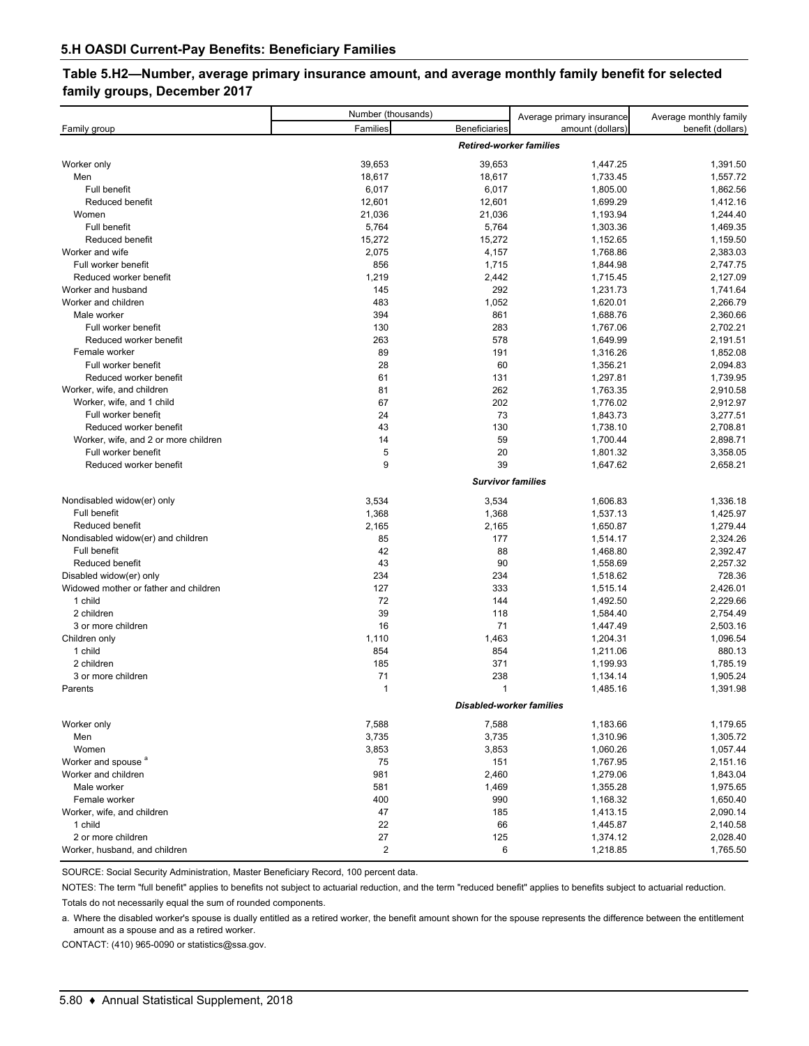### **Table 5.H2—Number, average primary insurance amount, and average monthly family benefit for selected family groups, December 2017**

|                                       | Number (thousands) |                                 | Average primary insurance | Average monthly family |  |  |  |  |  |  |
|---------------------------------------|--------------------|---------------------------------|---------------------------|------------------------|--|--|--|--|--|--|
| Family group                          | Families           | Beneficiaries                   | amount (dollars)          | benefit (dollars)      |  |  |  |  |  |  |
|                                       |                    | <b>Retired-worker families</b>  |                           |                        |  |  |  |  |  |  |
| Worker only                           | 39,653             | 39,653                          | 1,447.25                  | 1,391.50               |  |  |  |  |  |  |
| Men                                   | 18,617             | 18,617                          | 1,733.45                  | 1,557.72               |  |  |  |  |  |  |
| Full benefit                          | 6,017              | 6,017                           | 1,805.00                  | 1,862.56               |  |  |  |  |  |  |
| Reduced benefit                       | 12,601             | 12,601                          | 1,699.29                  | 1,412.16               |  |  |  |  |  |  |
| Women                                 | 21,036             | 21,036                          | 1,193.94                  | 1,244.40               |  |  |  |  |  |  |
| Full benefit                          | 5,764              | 5,764                           | 1,303.36                  | 1,469.35               |  |  |  |  |  |  |
| Reduced benefit                       | 15,272             | 15,272                          | 1,152.65                  | 1,159.50               |  |  |  |  |  |  |
| Worker and wife                       | 2,075              | 4,157                           | 1,768.86                  | 2,383.03               |  |  |  |  |  |  |
| Full worker benefit                   | 856                | 1,715                           | 1,844.98                  | 2,747.75               |  |  |  |  |  |  |
| Reduced worker benefit                | 1,219              | 2,442                           | 1,715.45                  | 2,127.09               |  |  |  |  |  |  |
| Worker and husband                    | 145                | 292                             | 1,231.73                  | 1,741.64               |  |  |  |  |  |  |
| Worker and children                   | 483                | 1,052                           | 1,620.01                  | 2,266.79               |  |  |  |  |  |  |
| Male worker                           | 394                | 861                             | 1,688.76                  | 2,360.66               |  |  |  |  |  |  |
| Full worker benefit                   | 130                | 283                             | 1,767.06                  | 2,702.21               |  |  |  |  |  |  |
| Reduced worker benefit                | 263                | 578                             | 1,649.99                  | 2,191.51               |  |  |  |  |  |  |
| Female worker                         | 89                 | 191                             | 1,316.26                  | 1,852.08               |  |  |  |  |  |  |
| Full worker benefit                   | 28                 | 60                              | 1,356.21                  | 2,094.83               |  |  |  |  |  |  |
| Reduced worker benefit                | 61                 | 131                             | 1,297.81                  | 1,739.95               |  |  |  |  |  |  |
| Worker, wife, and children            | 81                 | 262                             | 1,763.35                  | 2,910.58               |  |  |  |  |  |  |
| Worker, wife, and 1 child             | 67                 | 202                             | 1,776.02                  | 2,912.97               |  |  |  |  |  |  |
| Full worker benefit                   | 24                 | 73                              | 1,843.73                  | 3,277.51               |  |  |  |  |  |  |
| Reduced worker benefit                | 43                 | 130                             | 1,738.10                  | 2,708.81               |  |  |  |  |  |  |
| Worker, wife, and 2 or more children  | 14                 | 59                              | 1,700.44                  | 2,898.71               |  |  |  |  |  |  |
| Full worker benefit                   | 5                  | 20                              | 1,801.32                  | 3,358.05               |  |  |  |  |  |  |
| Reduced worker benefit                | 9                  | 39                              | 1,647.62                  | 2,658.21               |  |  |  |  |  |  |
|                                       |                    | <b>Survivor families</b>        |                           |                        |  |  |  |  |  |  |
| Nondisabled widow(er) only            | 3,534              | 3,534                           | 1,606.83                  | 1,336.18               |  |  |  |  |  |  |
| Full benefit                          | 1,368              | 1,368                           | 1,537.13                  | 1,425.97               |  |  |  |  |  |  |
| Reduced benefit                       | 2,165              | 2,165                           | 1,650.87                  | 1,279.44               |  |  |  |  |  |  |
| Nondisabled widow(er) and children    | 85                 | 177                             | 1,514.17                  | 2,324.26               |  |  |  |  |  |  |
| Full benefit                          | 42                 | 88                              | 1,468.80                  | 2,392.47               |  |  |  |  |  |  |
| Reduced benefit                       | 43                 | 90                              | 1,558.69                  | 2,257.32               |  |  |  |  |  |  |
| Disabled widow(er) only               | 234                | 234                             | 1,518.62                  | 728.36                 |  |  |  |  |  |  |
| Widowed mother or father and children | 127                | 333                             | 1,515.14                  | 2,426.01               |  |  |  |  |  |  |
| 1 child                               | 72                 | 144                             | 1,492.50                  | 2,229.66               |  |  |  |  |  |  |
| 2 children                            | 39                 | 118                             | 1,584.40                  | 2,754.49               |  |  |  |  |  |  |
| 3 or more children                    | 16                 | 71                              | 1,447.49                  | 2,503.16               |  |  |  |  |  |  |
| Children only                         | 1,110              | 1,463                           | 1,204.31                  | 1,096.54               |  |  |  |  |  |  |
| 1 child                               | 854                | 854                             | 1,211.06                  | 880.13                 |  |  |  |  |  |  |
| 2 children                            | 185                | 371                             | 1,199.93                  | 1,785.19               |  |  |  |  |  |  |
| 3 or more children                    | 71                 | 238                             | 1,134.14                  | 1,905.24               |  |  |  |  |  |  |
| Parents                               | $\mathbf{1}$       | 1                               | 1,485.16                  | 1,391.98               |  |  |  |  |  |  |
|                                       |                    | <b>Disabled-worker families</b> |                           |                        |  |  |  |  |  |  |
|                                       |                    |                                 |                           |                        |  |  |  |  |  |  |
| Worker only                           | 7,588              | 7,588                           | 1,183.66                  | 1,179.65               |  |  |  |  |  |  |
| Men                                   | 3,735              | 3,735                           | 1,310.96                  | 1,305.72               |  |  |  |  |  |  |
| Women                                 | 3,853              | 3,853                           | 1,060.26                  | 1,057.44               |  |  |  |  |  |  |
| Worker and spouse <sup>a</sup>        | 75                 | 151                             | 1,767.95                  | 2,151.16               |  |  |  |  |  |  |
| Worker and children                   | 981                | 2,460                           | 1,279.06                  | 1,843.04               |  |  |  |  |  |  |
| Male worker                           | 581                | 1,469                           | 1,355.28                  | 1,975.65               |  |  |  |  |  |  |
| Female worker                         | 400                | 990                             | 1,168.32                  | 1,650.40               |  |  |  |  |  |  |
| Worker, wife, and children            | 47                 | 185                             | 1,413.15                  | 2,090.14               |  |  |  |  |  |  |
| 1 child                               | 22                 | 66                              | 1,445.87                  | 2,140.58               |  |  |  |  |  |  |
| 2 or more children                    | 27                 | 125                             | 1,374.12                  | 2,028.40               |  |  |  |  |  |  |
| Worker, husband, and children         | $\overline{2}$     | 6                               | 1,218.85                  | 1,765.50               |  |  |  |  |  |  |

SOURCE: Social Security Administration, Master Beneficiary Record, 100 percent data.

NOTES: The term "full benefit" applies to benefits not subject to actuarial reduction, and the term "reduced benefit" applies to benefits subject to actuarial reduction. Totals do not necessarily equal the sum of rounded components.

a. Where the disabled worker's spouse is dually entitled as a retired worker, the benefit amount shown for the spouse represents the difference between the entitlement amount as a spouse and as a retired worker.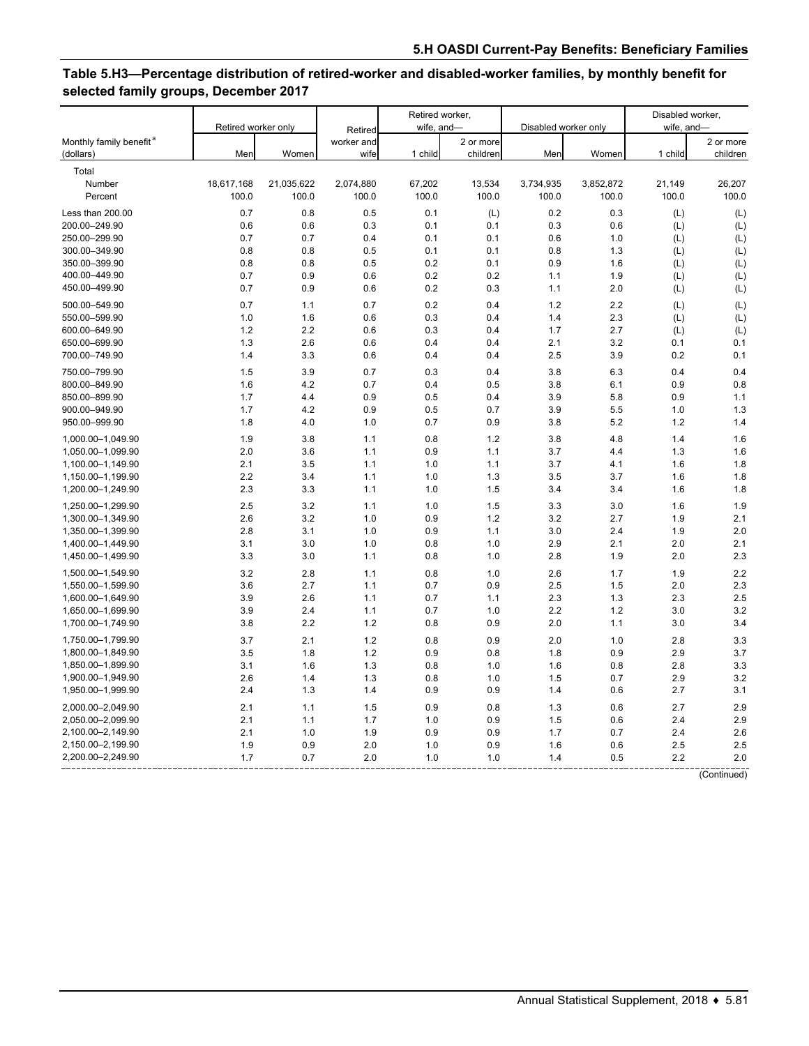## **Table 5.H3—Percentage distribution of retired-worker and disabled-worker families, by monthly benefit for selected family groups, December 2017**

|                                                  | Retired worker only |            |                    | Retired worker,<br>wife, and- |                       |                      |           | Disabled worker,<br>wife, and- |                       |  |
|--------------------------------------------------|---------------------|------------|--------------------|-------------------------------|-----------------------|----------------------|-----------|--------------------------------|-----------------------|--|
|                                                  |                     |            | Retired            |                               |                       | Disabled worker only |           |                                |                       |  |
| Monthly family benefit <sup>a</sup><br>(dollars) | Men                 | Women      | worker and<br>wife | 1 child                       | 2 or more<br>children | Men                  | Women     | 1 child                        | 2 or more<br>children |  |
| Total                                            |                     |            |                    |                               |                       |                      |           |                                |                       |  |
| Number                                           | 18,617,168          | 21,035,622 | 2,074,880          | 67,202                        | 13,534                | 3,734,935            | 3,852,872 | 21,149                         | 26,207                |  |
| Percent                                          | 100.0               | 100.0      | 100.0              | 100.0                         | 100.0                 | 100.0                | 100.0     | 100.0                          | 100.0                 |  |
| Less than 200.00                                 | 0.7                 | 0.8        | 0.5                | 0.1                           | (L)                   | 0.2                  | 0.3       | (L)                            | (L)                   |  |
| 200.00-249.90                                    | 0.6                 | 0.6        | 0.3                | 0.1                           | 0.1                   | 0.3                  | 0.6       | (L)                            | (L)                   |  |
| 250.00-299.90                                    | 0.7                 | 0.7        | 0.4                | 0.1                           | 0.1                   | 0.6                  | 1.0       | (L)                            | (L)                   |  |
| 300.00-349.90                                    | 0.8                 | 0.8        | 0.5                | 0.1                           | 0.1                   | 0.8                  | 1.3       | (L)                            | (L)                   |  |
| 350.00-399.90                                    | 0.8                 | 0.8        | 0.5                | 0.2                           | 0.1                   | 0.9                  | 1.6       | (L)                            | (L)                   |  |
| 400.00-449.90                                    | 0.7                 | 0.9        | 0.6                | 0.2                           | 0.2                   | 1.1                  | 1.9       | (L)                            | (L)                   |  |
| 450.00-499.90                                    | 0.7                 | 0.9        | 0.6                | 0.2                           | 0.3                   | 1.1                  | 2.0       | (L)                            | (L)                   |  |
|                                                  |                     |            |                    |                               |                       |                      |           |                                |                       |  |
| 500.00-549.90                                    | 0.7                 | 1.1        | 0.7                | 0.2                           | 0.4                   | 1.2                  | 2.2       | (L)                            | (L)                   |  |
| 550.00-599.90                                    | 1.0                 | 1.6        | 0.6                | 0.3                           | 0.4                   | 1.4                  | 2.3       | (L)                            | (L)                   |  |
| 600.00-649.90                                    | 1.2                 | 2.2        | 0.6                | 0.3                           | 0.4                   | 1.7                  | 2.7       | (L)                            | (L)                   |  |
| 650.00-699.90                                    | 1.3                 | 2.6        | 0.6                | 0.4                           | 0.4                   | 2.1                  | 3.2       | 0.1                            | 0.1                   |  |
| 700.00-749.90                                    | 1.4                 | 3.3        | 0.6                | 0.4                           | 0.4                   | 2.5                  | 3.9       | 0.2                            | 0.1                   |  |
| 750.00-799.90                                    | 1.5                 | 3.9        | 0.7                | 0.3                           | 0.4                   | 3.8                  | 6.3       | 0.4                            | 0.4                   |  |
| 800.00-849.90                                    | 1.6                 | 4.2        | 0.7                | 0.4                           | 0.5                   | 3.8                  | 6.1       | 0.9                            | 0.8                   |  |
| 850.00-899.90                                    | 1.7                 | 4.4        | 0.9                | 0.5                           | 0.4                   | 3.9                  | 5.8       | 0.9                            | 1.1                   |  |
| 900.00-949.90                                    | 1.7                 | 4.2        | 0.9                | 0.5                           | 0.7                   | 3.9                  | 5.5       | 1.0                            | 1.3                   |  |
| 950.00-999.90                                    | 1.8                 | 4.0        | 1.0                | 0.7                           | 0.9                   | 3.8                  | 5.2       | 1.2                            | 1.4                   |  |
| 1,000.00-1,049.90                                | 1.9                 | 3.8        | 1.1                | 0.8                           | 1.2                   | 3.8                  | 4.8       | 1.4                            | 1.6                   |  |
| 1,050.00-1,099.90                                | 2.0                 | 3.6        | 1.1                | 0.9                           | 1.1                   | 3.7                  | 4.4       | 1.3                            | 1.6                   |  |
| 1,100.00-1,149.90                                | 2.1                 | 3.5        | 1.1                | 1.0                           | 1.1                   | 3.7                  | 4.1       | 1.6                            | 1.8                   |  |
| 1,150.00-1,199.90                                | 2.2                 | 3.4        | 1.1                | 1.0                           | 1.3                   | 3.5                  | 3.7       | 1.6                            | 1.8                   |  |
| 1,200.00-1,249.90                                | 2.3                 | 3.3        | 1.1                | 1.0                           | 1.5                   | 3.4                  | 3.4       | 1.6                            | 1.8                   |  |
|                                                  |                     |            |                    |                               |                       |                      |           |                                |                       |  |
| 1,250.00-1,299.90                                | 2.5                 | 3.2        | 1.1                | 1.0                           | 1.5                   | 3.3                  | 3.0       | 1.6                            | 1.9                   |  |
| 1,300.00-1,349.90                                | 2.6                 | 3.2        | 1.0                | 0.9                           | 1.2                   | 3.2                  | 2.7       | 1.9                            | 2.1                   |  |
| 1,350.00-1,399.90                                | 2.8                 | 3.1        | 1.0                | 0.9                           | 1.1                   | 3.0                  | 2.4       | 1.9                            | 2.0                   |  |
| 1,400.00-1,449.90                                | 3.1                 | 3.0        | 1.0                | 0.8                           | 1.0                   | 2.9                  | 2.1       | 2.0                            | 2.1                   |  |
| 1,450.00-1,499.90                                | 3.3                 | 3.0        | 1.1                | 0.8                           | 1.0                   | 2.8                  | 1.9       | 2.0                            | 2.3                   |  |
| 1,500.00-1,549.90                                | 3.2                 | 2.8        | 1.1                | 0.8                           | 1.0                   | 2.6                  | 1.7       | 1.9                            | 2.2                   |  |
| 1,550.00-1,599.90                                | 3.6                 | 2.7        | 1.1                | 0.7                           | 0.9                   | 2.5                  | 1.5       | 2.0                            | 2.3                   |  |
| 1,600.00-1,649.90                                | 3.9                 | 2.6        | 1.1                | 0.7                           | 1.1                   | 2.3                  | 1.3       | 2.3                            | 2.5                   |  |
| 1,650.00-1,699.90                                | 3.9                 | 2.4        | 1.1                | 0.7                           | 1.0                   | 2.2                  | 1.2       | 3.0                            | 3.2                   |  |
| 1,700.00-1,749.90                                | 3.8                 | 2.2        | 1.2                | 0.8                           | 0.9                   | 2.0                  | 1.1       | 3.0                            | 3.4                   |  |
| 1,750.00-1,799.90                                | 3.7                 | 2.1        | 1.2                | 0.8                           | 0.9                   | 2.0                  | 1.0       | 2.8                            | 3.3                   |  |
| 1,800.00-1,849.90                                | 3.5                 | 1.8        | 1.2                | 0.9                           | 0.8                   | 1.8                  | 0.9       | 2.9                            | 3.7                   |  |
| 1,850.00-1,899.90                                | 3.1                 | 1.6        | 1.3                | 0.8                           | 1.0                   | 1.6                  | 0.8       | 2.8                            | 3.3                   |  |
| 1,900.00-1,949.90                                | 2.6                 | 1.4        | 1.3                | 0.8                           | 1.0                   | 1.5                  | 0.7       | 2.9                            | 3.2                   |  |
| 1,950.00-1,999.90                                | 2.4                 | 1.3        | 1.4                | 0.9                           | 0.9                   | 1.4                  | 0.6       | 2.7                            | 3.1                   |  |
| 2,000.00-2,049.90                                | 2.1                 | 1.1        | 1.5                | 0.9                           | 0.8                   | 1.3                  | 0.6       | 2.7                            | 2.9                   |  |
| 2,050.00-2,099.90                                | 2.1                 | 1.1        | 1.7                | 1.0                           | 0.9                   | 1.5                  | 0.6       | 2.4                            | 2.9                   |  |
| 2,100.00-2,149.90                                | 2.1                 | 1.0        | 1.9                | 0.9                           | 0.9                   | 1.7                  | 0.7       | 2.4                            | 2.6                   |  |
| 2,150.00-2,199.90                                | 1.9                 | 0.9        | 2.0                | 1.0                           | 0.9                   | 1.6                  | 0.6       | 2.5                            | 2.5                   |  |
| 2,200.00-2,249.90                                | 1.7                 | 0.7        | 2.0                | 1.0                           | 1.0                   | 1.4                  | 0.5       | 2.2                            | 2.0                   |  |
|                                                  |                     |            |                    |                               |                       |                      |           |                                |                       |  |

(Continued)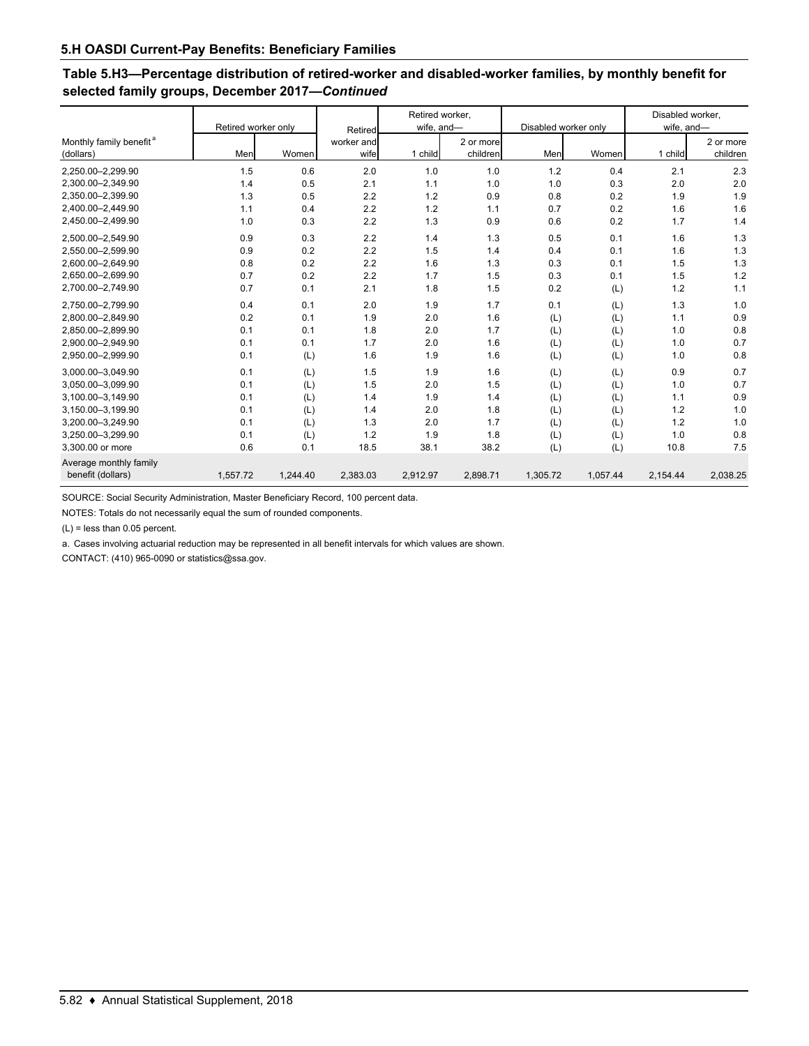## **Table 5.H3—Percentage distribution of retired-worker and disabled-worker families, by monthly benefit for selected family groups, December 2017—***Continued*

|                                                  | Retired worker only |          | Retired            | Retired worker,<br>wife, and- |                       | Disabled worker only |          | Disabled worker,<br>wife, and- |                       |  |
|--------------------------------------------------|---------------------|----------|--------------------|-------------------------------|-----------------------|----------------------|----------|--------------------------------|-----------------------|--|
| Monthly family benefit <sup>a</sup><br>(dollars) | Men                 | Women    | worker and<br>wife | 1 child                       | 2 or more<br>children | Men                  | Women    | 1 child                        | 2 or more<br>children |  |
| 2.250.00-2.299.90                                | 1.5                 | 0.6      | 2.0                | 1.0                           | 1.0                   | 1.2                  | 0.4      | 2.1                            | 2.3                   |  |
| 2,300.00-2,349.90                                | 1.4                 | 0.5      | 2.1                | 1.1                           | 1.0                   | 1.0                  | 0.3      | 2.0                            | 2.0                   |  |
| 2.350.00-2.399.90                                | 1.3                 | 0.5      | 2.2                | 1.2                           | 0.9                   | 0.8                  | 0.2      | 1.9                            | 1.9                   |  |
| 2,400.00-2,449.90                                | 1.1                 | 0.4      | 2.2                | 1.2                           | 1.1                   | 0.7                  | 0.2      | 1.6                            | 1.6                   |  |
| 2,450.00-2,499.90                                | 1.0                 | 0.3      | 2.2                | 1.3                           | 0.9                   | 0.6                  | 0.2      | 1.7                            | 1.4                   |  |
| 2,500.00-2,549.90                                | 0.9                 | 0.3      | 2.2                | 1.4                           | 1.3                   | 0.5                  | 0.1      | 1.6                            | 1.3                   |  |
| 2,550.00-2,599.90                                | 0.9                 | 0.2      | 2.2                | 1.5                           | 1.4                   | 0.4                  | 0.1      | 1.6                            | 1.3                   |  |
| 2,600.00-2,649.90                                | 0.8                 | 0.2      | 2.2                | 1.6                           | 1.3                   | 0.3                  | 0.1      | 1.5                            | 1.3                   |  |
| 2.650.00-2.699.90                                | 0.7                 | 0.2      | 2.2                | 1.7                           | 1.5                   | 0.3                  | 0.1      | 1.5                            | 1.2                   |  |
| 2.700.00-2.749.90                                | 0.7                 | 0.1      | 2.1                | 1.8                           | 1.5                   | 0.2                  | (L)      | 1.2                            | 1.1                   |  |
| 2.750.00-2.799.90                                | 0.4                 | 0.1      | 2.0                | 1.9                           | 1.7                   | 0.1                  | (L)      | 1.3                            | 1.0                   |  |
| 2.800.00-2.849.90                                | 0.2                 | 0.1      | 1.9                | 2.0                           | 1.6                   | (L)                  | (L)      | 1.1                            | 0.9                   |  |
| 2,850.00-2,899.90                                | 0.1                 | 0.1      | 1.8                | 2.0                           | 1.7                   | (L)                  | (L)      | 1.0                            | 0.8                   |  |
| 2.900.00-2.949.90                                | 0.1                 | 0.1      | 1.7                | 2.0                           | 1.6                   | (L)                  | (L)      | 1.0                            | 0.7                   |  |
| 2,950.00-2,999.90                                | 0.1                 | (L)      | 1.6                | 1.9                           | 1.6                   | (L)                  | (L)      | 1.0                            | 0.8                   |  |
| 3,000.00-3,049.90                                | 0.1                 | (L)      | 1.5                | 1.9                           | 1.6                   | (L)                  | (L)      | 0.9                            | 0.7                   |  |
| 3,050.00-3,099.90                                | 0.1                 | (L)      | 1.5                | 2.0                           | 1.5                   | (L)                  | (L)      | 1.0                            | 0.7                   |  |
| 3,100.00-3,149.90                                | 0.1                 | (L)      | 1.4                | 1.9                           | 1.4                   | (L)                  | (L)      | 1.1                            | 0.9                   |  |
| 3,150.00-3,199.90                                | 0.1                 | (L)      | 1.4                | 2.0                           | 1.8                   | (L)                  | (L)      | 1.2                            | 1.0                   |  |
| 3,200.00-3,249.90                                | 0.1                 | (L)      | 1.3                | 2.0                           | 1.7                   | (L)                  | (L)      | 1.2                            | 1.0                   |  |
| 3,250.00-3,299.90                                | 0.1                 | (L)      | 1.2                | 1.9                           | 1.8                   | (L)                  | (L)      | 1.0                            | 0.8                   |  |
| 3,300.00 or more                                 | 0.6                 | 0.1      | 18.5               | 38.1                          | 38.2                  | (L)                  | (L)      | 10.8                           | 7.5                   |  |
| Average monthly family<br>benefit (dollars)      | 1,557.72            | 1.244.40 | 2,383.03           | 2,912.97                      | 2,898.71              | 1,305.72             | 1,057.44 | 2,154.44                       | 2,038.25              |  |
|                                                  |                     |          |                    |                               |                       |                      |          |                                |                       |  |

SOURCE: Social Security Administration, Master Beneficiary Record, 100 percent data.

NOTES: Totals do not necessarily equal the sum of rounded components.

(L) = less than 0.05 percent.

a. Cases involving actuarial reduction may be represented in all benefit intervals for which values are shown.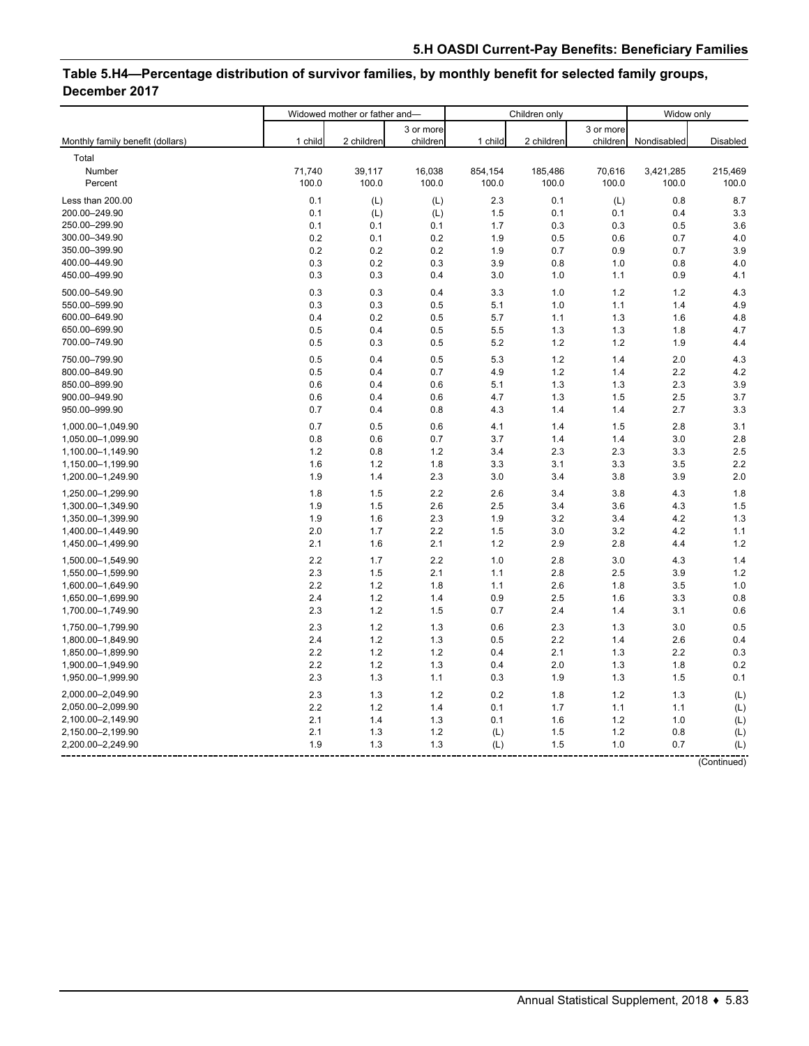# **Table 5.H4—Percentage distribution of survivor families, by monthly benefit for selected family groups, December 2017**

|                                        | Widowed mother or father and- |            |            | Children only | Widow only |            |             |            |
|----------------------------------------|-------------------------------|------------|------------|---------------|------------|------------|-------------|------------|
|                                        |                               |            | 3 or more  |               |            | 3 or more  |             |            |
| Monthly family benefit (dollars)       | 1 child                       | 2 children | children   | 1 child       | 2 children | children   | Nondisabled | Disabled   |
| Total                                  |                               |            |            |               |            |            |             |            |
| Number                                 | 71,740                        | 39,117     | 16,038     | 854,154       | 185,486    | 70,616     | 3,421,285   | 215,469    |
| Percent                                | 100.0                         | 100.0      | 100.0      | 100.0         | 100.0      | 100.0      | 100.0       | 100.0      |
| Less than 200.00                       | 0.1                           | (L)        | (L)        | 2.3           | 0.1        | (L)        | 0.8         | 8.7        |
| 200.00-249.90                          | 0.1                           | (L)        | (L)        | 1.5           | 0.1        | 0.1        | 0.4         | 3.3        |
| 250.00-299.90                          | 0.1                           | 0.1        | 0.1        | 1.7           | 0.3        | 0.3        | 0.5         | 3.6        |
| 300.00-349.90                          | 0.2                           | 0.1        | 0.2        | 1.9           | 0.5        | 0.6        | 0.7         | 4.0        |
| 350.00-399.90                          | 0.2                           | 0.2        | 0.2        | 1.9           | 0.7        | 0.9        | 0.7         | 3.9        |
| 400.00-449.90                          | 0.3                           | 0.2        | 0.3        | 3.9           | 0.8        | 1.0        | 0.8         | 4.0        |
| 450.00-499.90                          | 0.3                           | 0.3        | 0.4        | 3.0           | 1.0        | 1.1        | 0.9         | 4.1        |
| 500.00-549.90                          | 0.3                           | 0.3        | 0.4        | 3.3           | 1.0        | 1.2        | 1.2         | 4.3        |
| 550.00-599.90                          | 0.3                           | 0.3        | 0.5        | 5.1           | 1.0        | 1.1        | 1.4         | 4.9        |
| 600.00-649.90                          | 0.4                           | 0.2        | 0.5        | 5.7           | 1.1        | 1.3        | 1.6         | 4.8        |
| 650.00-699.90                          | 0.5                           | 0.4        | 0.5        | 5.5           | 1.3        | 1.3        | 1.8         | 4.7        |
| 700.00-749.90                          | 0.5                           | 0.3        | 0.5        | 5.2           | 1.2        | 1.2        | 1.9         | 4.4        |
| 750.00-799.90                          | 0.5                           | 0.4        | 0.5        | 5.3           | 1.2        | 1.4        | 2.0         | 4.3        |
| 800.00-849.90                          | 0.5                           | 0.4        | 0.7        | 4.9           | 1.2        | 1.4        | 2.2         | 4.2        |
| 850.00-899.90                          | 0.6                           | 0.4        | 0.6        | 5.1           | 1.3        | 1.3        | 2.3         | 3.9        |
| 900.00-949.90                          | 0.6                           | 0.4        | 0.6        | 4.7           | 1.3        | 1.5        | 2.5         | 3.7        |
| 950.00-999.90                          | 0.7                           | 0.4        | 0.8        | 4.3           | 1.4        | 1.4        | 2.7         | 3.3        |
| 1,000.00-1,049.90                      | 0.7                           | 0.5        | 0.6        | 4.1           | 1.4        | 1.5        | 2.8         | 3.1        |
| 1,050.00-1,099.90                      | 0.8                           | 0.6        | 0.7        | 3.7           | 1.4        | 1.4        | 3.0         | 2.8        |
| 1,100.00-1,149.90                      | 1.2                           | 0.8        | $1.2$      | 3.4           | 2.3        | 2.3        | 3.3         | 2.5        |
| 1,150.00-1,199.90                      | 1.6                           | 1.2        | 1.8        | 3.3           | 3.1        | 3.3        | 3.5         | 2.2        |
| 1,200.00-1,249.90                      | 1.9                           | 1.4        | 2.3        | 3.0           | 3.4        | 3.8        | 3.9         | 2.0        |
|                                        |                               |            |            |               |            |            |             |            |
| 1,250.00-1,299.90                      | 1.8                           | 1.5        | 2.2        | 2.6           | 3.4        | 3.8        | 4.3         | 1.8        |
| 1,300.00-1,349.90                      | 1.9                           | 1.5        | 2.6        | 2.5           | 3.4        | 3.6        | 4.3         | 1.5        |
| 1,350.00-1,399.90                      | 1.9<br>2.0                    | 1.6<br>1.7 | 2.3<br>2.2 | 1.9<br>1.5    | 3.2        | 3.4<br>3.2 | 4.2         | 1.3<br>1.1 |
| 1,400.00-1,449.90<br>1,450.00-1,499.90 | 2.1                           | 1.6        | 2.1        | 1.2           | 3.0<br>2.9 | 2.8        | 4.2<br>4.4  | 1.2        |
|                                        |                               |            |            |               |            |            |             |            |
| 1,500.00-1,549.90                      | 2.2                           | 1.7        | 2.2        | 1.0           | 2.8        | 3.0        | 4.3         | 1.4        |
| 1,550.00-1,599.90                      | 2.3                           | 1.5        | 2.1        | 1.1           | 2.8        | 2.5        | 3.9         | 1.2        |
| 1,600.00-1,649.90                      | 2.2                           | 1.2        | 1.8        | 1.1           | 2.6        | 1.8        | 3.5         | 1.0        |
| 1,650.00-1,699.90                      | 2.4                           | 1.2        | 1.4        | 0.9           | 2.5        | 1.6        | 3.3         | 0.8        |
| 1,700.00-1,749.90                      | 2.3                           | 1.2        | 1.5        | 0.7           | 2.4        | 1.4        | 3.1         | 0.6        |
| 1,750.00-1,799.90                      | 2.3                           | 1.2        | 1.3        | 0.6           | 2.3        | 1.3        | 3.0         | 0.5        |
| 1,800.00-1,849.90                      | 2.4                           | 1.2        | 1.3        | 0.5           | 2.2        | 1.4        | 2.6         | 0.4        |
| 1,850.00-1,899.90                      | 2.2                           | 1.2        | 1.2        | 0.4           | 2.1        | 1.3        | 2.2         | 0.3        |
| 1,900.00-1,949.90                      | 2.2                           | 1.2        | 1.3        | 0.4           | 2.0        | 1.3        | 1.8         | 0.2        |
| 1,950.00-1,999.90                      | 2.3                           | 1.3        | 1.1        | 0.3           | 1.9        | 1.3        | 1.5         | 0.1        |
| 2,000.00-2,049.90                      | 2.3                           | 1.3        | 1.2        | 0.2           | 1.8        | 1.2        | 1.3         | (L)        |
| 2,050.00-2,099.90                      | 2.2                           | 1.2        | 1.4        | 0.1           | 1.7        | 1.1        | 1.1         | (L)        |
| 2,100.00-2,149.90                      | 2.1                           | 1.4        | 1.3        | 0.1           | 1.6        | 1.2        | 1.0         | (L)        |
| 2,150.00-2,199.90                      | 2.1                           | 1.3        | 1.2        | (L)           | 1.5        | 1.2        | 0.8         | (L)        |
| 2,200.00-2,249.90                      | 1.9                           | 1.3        | 1.3        | (L)           | 1.5        | 1.0        | 0.7         | (L)        |

(Continued)